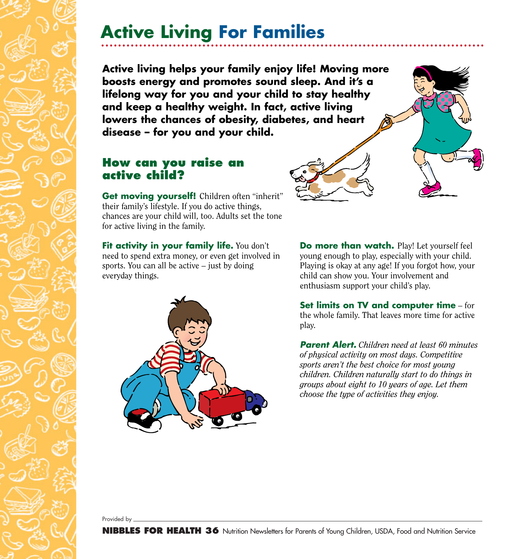## **Active Living For Families**

**Active living helps your family enjoy life! Moving more boosts energy and promotes sound sleep. And it's a lifelong way for you and your child to stay healthy and keep a healthy weight. In fact, active living lowers the chances of obesity, diabetes, and heart disease – for you and your child.**

### **How can you raise an active child?**

**Get moving yourself!** Children often "inherit" their family's lifestyle. If you do active things, chances are your child will, too. Adults set the tone for active living in the family.

**Fit activity in your family life.** You don't need to spend extra money, or even get involved in sports. You can all be active – just by doing everyday things.



**Do more than watch.** Play! Let yourself feel young enough to play, especially with your child. Playing is okay at any age! If you forgot how, your child can show you. Your involvement and enthusiasm support your child's play.

. . . . CHEAT

**Set limits on TV and computer time** – for the whole family. That leaves more time for active play.

*Parent Alert. Children need at least 60 minutes of physical activity on most days. Competitive sports aren't the best choice for most young children. Children naturally start to do things in groups about eight to 10 years of age. Let them choose the type of activities they enjoy.*

Provided by